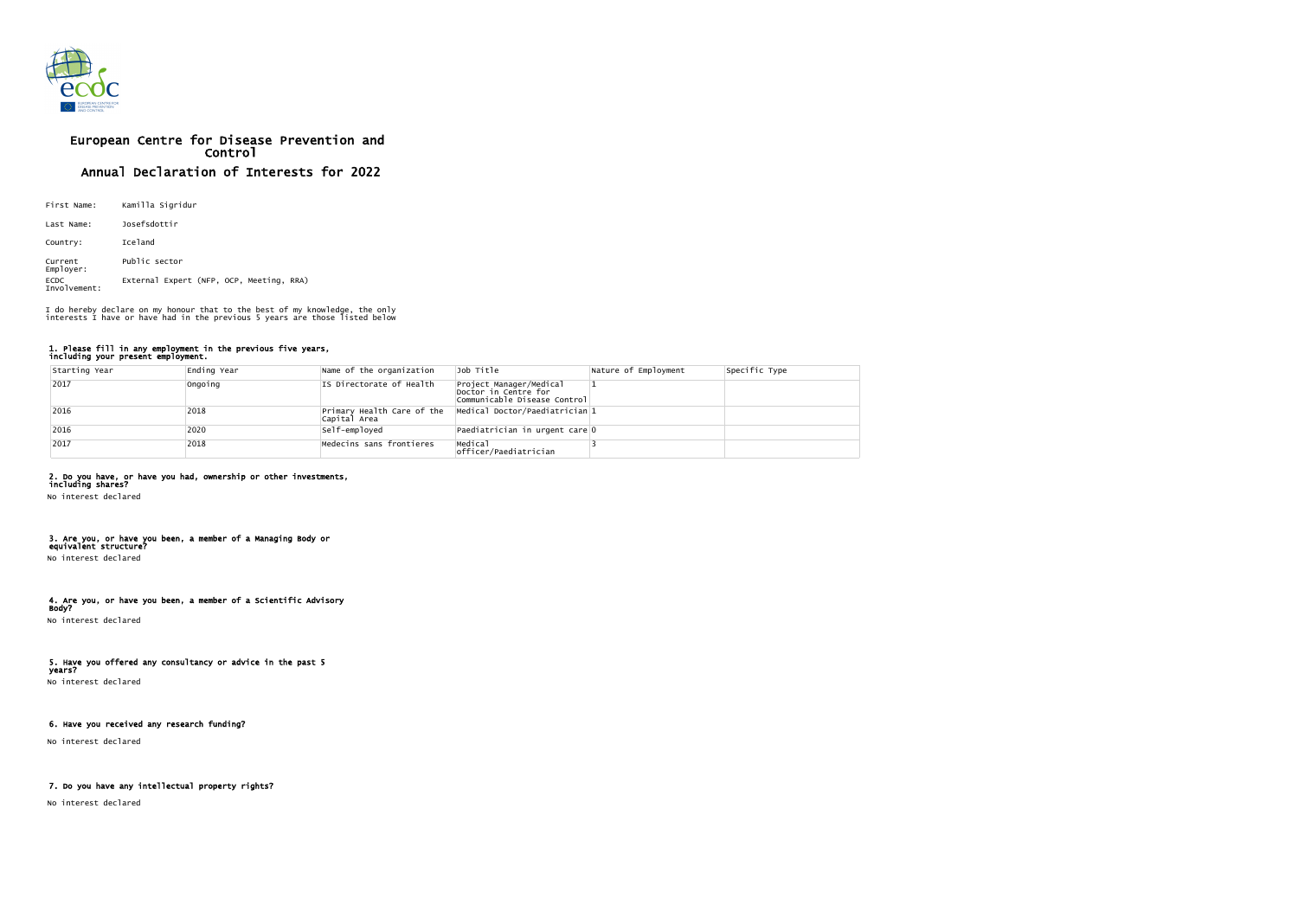

# European Centre for Disease Prevention and Control Annual Declaration of Interests for 2022

| First Name:                 | Kamilla Sigridur                         |  |  |  |  |
|-----------------------------|------------------------------------------|--|--|--|--|
| Last Name:                  | Josefsdottir                             |  |  |  |  |
| Country:                    | Iceland                                  |  |  |  |  |
| Current<br>Employer:        | Public sector                            |  |  |  |  |
| <b>ECDC</b><br>Involvement: | External Expert (NFP, OCP, Meeting, RRA) |  |  |  |  |

#### 1. Please fill in any employment in the previous five years, including your present employment.

| Starting Year | Ending Year | Name of the organization | Job Title                                                                       | Nature of Employment | Specific Type |
|---------------|-------------|--------------------------|---------------------------------------------------------------------------------|----------------------|---------------|
| 2017          | Ongoing     | IS Directorate of Health | Project Manager/Medical<br>Doctor in Centre for<br>Communicable Disease Control |                      |               |
| 2016          | 2018        | Capital Area             | $ Primary$ Health Care of the $ Medical$ Doctor/Paediatrician 1                 |                      |               |
| 2016          | 2020        | Self-employed            | Paediatrician in urgent care 0                                                  |                      |               |
| 2017          | 2018        | Medecins sans frontieres | Medical<br>officer/Paediatrician                                                |                      |               |

## 2. Do you have, or have you had, ownership or other investments,

including shares? No interest declared

#### 3. Are you, or have you been, a member of a Managing Body or equivalent structure?

No interest declared

#### 4. Are you, or have you been, a member of a Scientific Advisory Body?

No interest declared

## 5. Have you offered any consultancy or advice in the past 5

years? No interest declared

## 6. Have you received any research funding?

No interest declared

## 7. Do you have any intellectual property rights?

No interest declared

I do hereby declare on my honour that to the best of my knowledge, the only interests I have or have had in the previous 5 years are those listed below